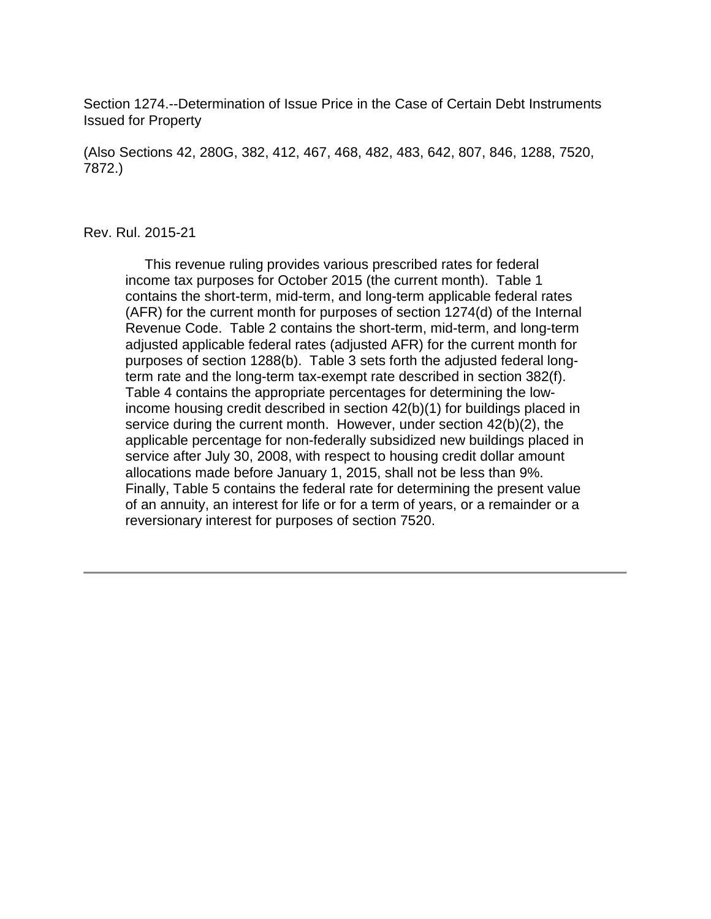Section 1274.--Determination of Issue Price in the Case of Certain Debt Instruments Issued for Property

(Also Sections 42, 280G, 382, 412, 467, 468, 482, 483, 642, 807, 846, 1288, 7520, 7872.)

#### Rev. Rul. 2015-21

 This revenue ruling provides various prescribed rates for federal income tax purposes for October 2015 (the current month). Table 1 contains the short-term, mid-term, and long-term applicable federal rates (AFR) for the current month for purposes of section 1274(d) of the Internal Revenue Code. Table 2 contains the short-term, mid-term, and long-term adjusted applicable federal rates (adjusted AFR) for the current month for purposes of section 1288(b). Table 3 sets forth the adjusted federal longterm rate and the long-term tax-exempt rate described in section 382(f). Table 4 contains the appropriate percentages for determining the lowincome housing credit described in section 42(b)(1) for buildings placed in service during the current month. However, under section 42(b)(2), the applicable percentage for non-federally subsidized new buildings placed in service after July 30, 2008, with respect to housing credit dollar amount allocations made before January 1, 2015, shall not be less than 9%. Finally, Table 5 contains the federal rate for determining the present value of an annuity, an interest for life or for a term of years, or a remainder or a reversionary interest for purposes of section 7520.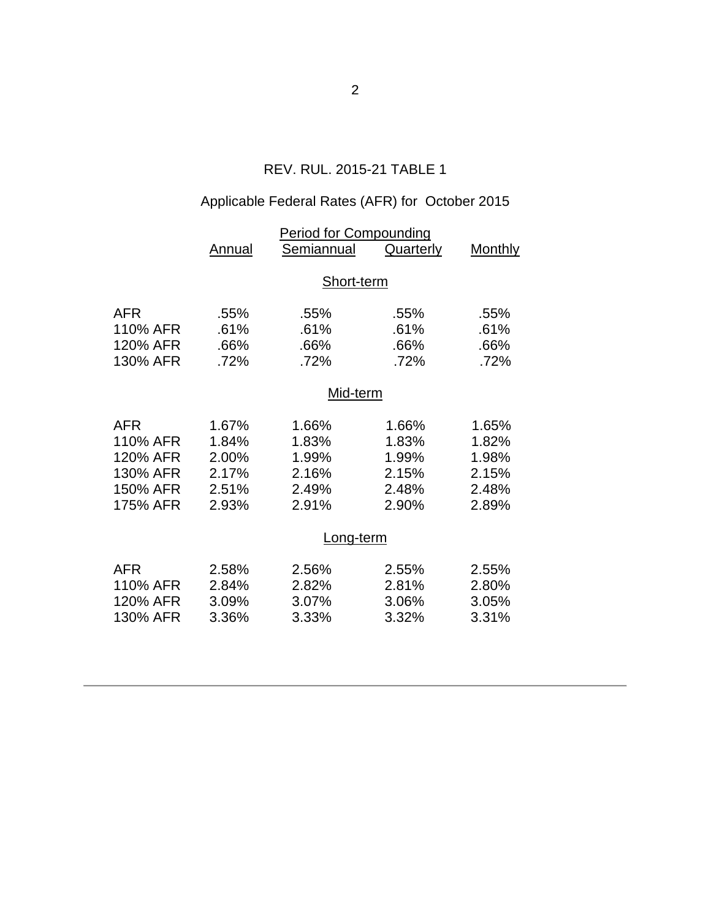## REV. RUL. 2015-21 TABLE 1

# Applicable Federal Rates (AFR) for October 2015

|            | <b>Period for Compounding</b> |            |                  |                |  |  |
|------------|-------------------------------|------------|------------------|----------------|--|--|
|            | Annual                        | Semiannual | <b>Quarterly</b> | <b>Monthly</b> |  |  |
|            | Short-term                    |            |                  |                |  |  |
|            |                               |            |                  |                |  |  |
| <b>AFR</b> | .55%                          | .55%       | .55%             | .55%           |  |  |
| 110% AFR   | .61%                          | .61%       | .61%             | .61%           |  |  |
| 120% AFR   | .66%                          | .66%       | .66%             | .66%           |  |  |
| 130% AFR   | .72%                          | .72%       | .72%             | .72%           |  |  |
|            | Mid-term                      |            |                  |                |  |  |
|            |                               |            |                  |                |  |  |
| <b>AFR</b> | 1.67%                         | 1.66%      | 1.66%            | 1.65%          |  |  |
| 110% AFR   | 1.84%                         | 1.83%      | 1.83%            | 1.82%          |  |  |
| 120% AFR   | 2.00%                         | 1.99%      | 1.99%            | 1.98%          |  |  |
| 130% AFR   | 2.17%                         | 2.16%      | 2.15%            | 2.15%          |  |  |
| 150% AFR   | 2.51%                         | 2.49%      | 2.48%            | 2.48%          |  |  |
| 175% AFR   | 2.93%                         | 2.91%      | 2.90%            | 2.89%          |  |  |
|            | Long-term                     |            |                  |                |  |  |
| <b>AFR</b> | 2.58%                         | 2.56%      | 2.55%            | 2.55%          |  |  |
| 110% AFR   | 2.84%                         | 2.82%      | 2.81%            | 2.80%          |  |  |
| 120% AFR   | 3.09%                         | 3.07%      | 3.06%            | 3.05%          |  |  |
| 130% AFR   | 3.36%                         | 3.33%      | 3.32%            | 3.31%          |  |  |
|            |                               |            |                  |                |  |  |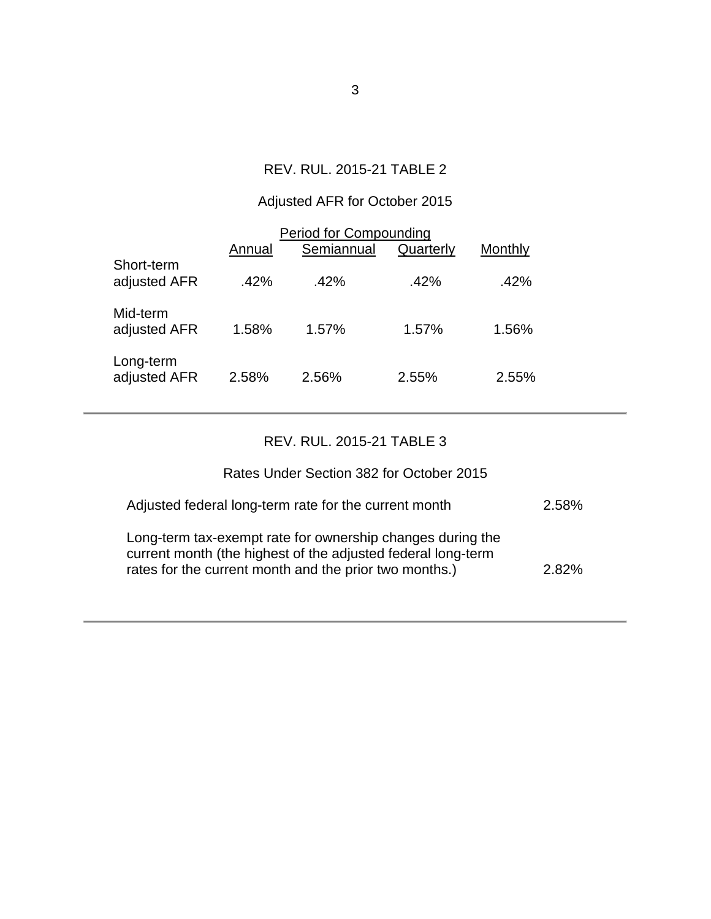## REV. RUL. 2015-21 TABLE 2

## Adjusted AFR for October 2015

| <b>Period for Compounding</b> |        |            |           |         |  |  |
|-------------------------------|--------|------------|-----------|---------|--|--|
|                               | Annual | Semiannual | Quarterly | Monthly |  |  |
| Short-term<br>adjusted AFR    | .42%   | $.42\%$    | $.42\%$   | .42%    |  |  |
| Mid-term<br>adjusted AFR      | 1.58%  | 1.57%      | 1.57%     | 1.56%   |  |  |
| Long-term<br>adjusted AFR     | 2.58%  | 2.56%      | 2.55%     | 2.55%   |  |  |

## REV. RUL. 2015-21 TABLE 3

### Rates Under Section 382 for October 2015

| Adjusted federal long-term rate for the current month                                                                                                                                | 2.58% |
|--------------------------------------------------------------------------------------------------------------------------------------------------------------------------------------|-------|
| Long-term tax-exempt rate for ownership changes during the<br>current month (the highest of the adjusted federal long-term<br>rates for the current month and the prior two months.) | 2.82% |